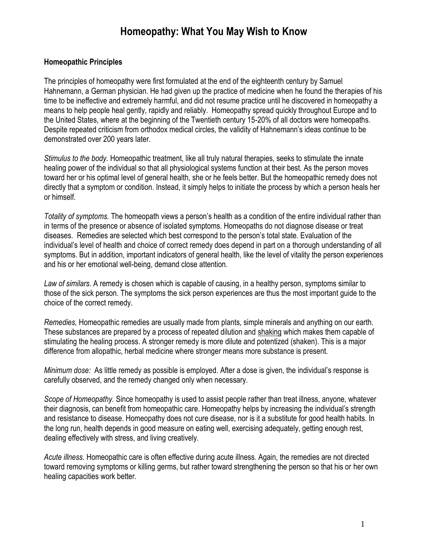# **Homeopathy: What You May Wish to Know**

#### **Homeopathic Principles**

The principles of homeopathy were first formulated at the end of the eighteenth century by Samuel Hahnemann, a German physician. He had given up the practice of medicine when he found the therapies of his time to be ineffective and extremely harmful, and did not resume practice until he discovered in homeopathy a means to help people heal gently, rapidly and reliably. Homeopathy spread quickly throughout Europe and to the United States, where at the beginning of the Twentieth century 15-20% of all doctors were homeopaths. Despite repeated criticism from orthodox medical circles, the validity of Hahnemann's ideas continue to be demonstrated over 200 years later.

*Stimulus to the body.* Homeopathic treatment, like all truly natural therapies, seeks to stimulate the innate healing power of the individual so that all physiological systems function at their best. As the person moves toward her or his optimal level of general health, she or he feels better. But the homeopathic remedy does not directly that a symptom or condition. Instead, it simply helps to initiate the process by which a person heals her or himself.

*Totality of symptoms.* The homeopath views a person's health as a condition of the entire individual rather than in terms of the presence or absence of isolated symptoms. Homeopaths do not diagnose disease or treat diseases. Remedies are selected which best correspond to the person's total state. Evaluation of the individual's level of health and choice of correct remedy does depend in part on a thorough understanding of all symptoms. But in addition, important indicators of general health, like the level of vitality the person experiences and his or her emotional well-being, demand close attention.

*Law of similars.* A remedy is chosen which is capable of causing, in a healthy person, symptoms similar to those of the sick person. The symptoms the sick person experiences are thus the most important guide to the choice of the correct remedy.

*Remedies,* Homeopathic remedies are usually made from plants, simple minerals and anything on our earth. These substances are prepared by a process of repeated dilution and shaking which makes them capable of stimulating the healing process. A stronger remedy is more dilute and potentized (shaken). This is a major difference from allopathic, herbal medicine where stronger means more substance is present.

*Minimum dose:* As little remedy as possible is employed. After a dose is given, the individual's response is carefully observed, and the remedy changed only when necessary.

*Scope of Homeopathy.* Since homeopathy is used to assist people rather than treat illness, anyone, whatever their diagnosis, can benefit from homeopathic care. Homeopathy helps by increasing the individual's strength and resistance to disease. Homeopathy does not cure disease, nor is it a substitute for good health habits. In the long run, health depends in good measure on eating well, exercising adequately, getting enough rest, dealing effectively with stress, and living creatively.

*Acute illness.* Homeopathic care is often effective during acute illness. Again, the remedies are not directed toward removing symptoms or killing germs, but rather toward strengthening the person so that his or her own healing capacities work better.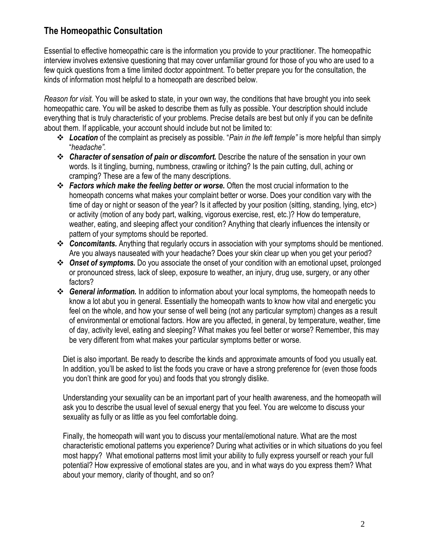# **The Homeopathic Consultation**

Essential to effective homeopathic care is the information you provide to your practitioner. The homeopathic interview involves extensive questioning that may cover unfamiliar ground for those of you who are used to a few quick questions from a time limited doctor appointment. To better prepare you for the consultation, the kinds of information most helpful to a homeopath are described below.

*Reason for visit.* You will be asked to state, in your own way, the conditions that have brought you into seek homeopathic care. You will be asked to describe them as fully as possible. Your description should include everything that is truly characteristic of your problems. Precise details are best but only if you can be definite about them. If applicable, your account should include but not be limited to:

- *Location* of the complaint as precisely as possible. "*Pain in the left temple"* is more helpful than simply "*headache".*
- *Character of sensation of pain or discomfort.* Describe the nature of the sensation in your own words. Is it tingling, burning, numbness, crawling or itching? Is the pain cutting, dull, aching or cramping? These are a few of the many descriptions.
- *Factors which make the feeling better or worse.* Often the most crucial information to the homeopath concerns what makes your complaint better or worse. Does your condition vary with the time of day or night or season of the year? Is it affected by your position (sitting, standing, lying, etc>) or activity (motion of any body part, walking, vigorous exercise, rest, etc.)? How do temperature, weather, eating, and sleeping affect your condition? Anything that clearly influences the intensity or pattern of your symptoms should be reported.
- *Concomitants.* Anything that regularly occurs in association with your symptoms should be mentioned. Are you always nauseated with your headache? Does your skin clear up when you get your period?
- *Onset of symptoms.* Do you associate the onset of your condition with an emotional upset, prolonged or pronounced stress, lack of sleep, exposure to weather, an injury, drug use, surgery, or any other factors?
- *General information.* In addition to information about your local symptoms, the homeopath needs to know a lot abut you in general. Essentially the homeopath wants to know how vital and energetic you feel on the whole, and how your sense of well being (not any particular symptom) changes as a result of environmental or emotional factors. How are you affected, in general, by temperature, weather, time of day, activity level, eating and sleeping? What makes you feel better or worse? Remember, this may be very different from what makes your particular symptoms better or worse.

Diet is also important. Be ready to describe the kinds and approximate amounts of food you usually eat. In addition, you'll be asked to list the foods you crave or have a strong preference for (even those foods you don't think are good for you) and foods that you strongly dislike.

Understanding your sexuality can be an important part of your health awareness, and the homeopath will ask you to describe the usual level of sexual energy that you feel. You are welcome to discuss your sexuality as fully or as little as you feel comfortable doing.

Finally, the homeopath will want you to discuss your mental/emotional nature. What are the most characteristic emotional patterns you experience? During what activities or in which situations do you feel most happy? What emotional patterns most limit your ability to fully express yourself or reach your full potential? How expressive of emotional states are you, and in what ways do you express them? What about your memory, clarity of thought, and so on?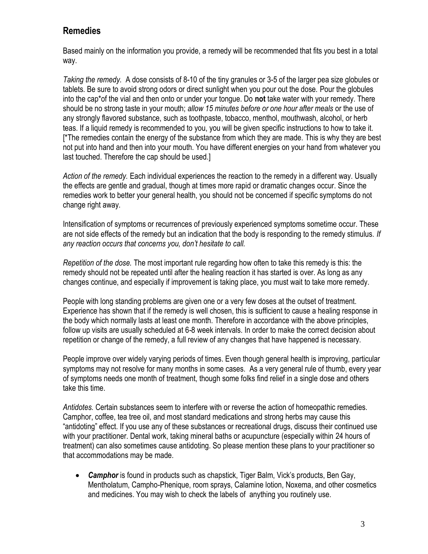# **Remedies**

Based mainly on the information you provide, a remedy will be recommended that fits you best in a total way.

*Taking the remedy.* A dose consists of 8-10 of the tiny granules or 3-5 of the larger pea size globules or tablets. Be sure to avoid strong odors or direct sunlight when you pour out the dose. Pour the globules into the cap\*of the vial and then onto or under your tongue. Do **not** take water with your remedy. There should be no strong taste in your mouth; *allow 15 minutes before or one hour after meals* or the use of any strongly flavored substance, such as toothpaste, tobacco, menthol, mouthwash, alcohol, or herb teas. If a liquid remedy is recommended to you, you will be given specific instructions to how to take it. [\*The remedies contain the energy of the substance from which they are made. This is why they are best not put into hand and then into your mouth. You have different energies on your hand from whatever you last touched. Therefore the cap should be used.]

*Action of the remedy.* Each individual experiences the reaction to the remedy in a different way. Usually the effects are gentle and gradual, though at times more rapid or dramatic changes occur. Since the remedies work to better your general health, you should not be concerned if specific symptoms do not change right away.

Intensification of symptoms or recurrences of previously experienced symptoms sometime occur. These are not side effects of the remedy but an indication that the body is responding to the remedy stimulus. *If any reaction occurs that concerns you, don't hesitate to call.*

*Repetition of the dose.* The most important rule regarding how often to take this remedy is this: the remedy should not be repeated until after the healing reaction it has started is over. As long as any changes continue, and especially if improvement is taking place, you must wait to take more remedy.

People with long standing problems are given one or a very few doses at the outset of treatment. Experience has shown that if the remedy is well chosen, this is sufficient to cause a healing response in the body which normally lasts at least one month. Therefore in accordance with the above principles, follow up visits are usually scheduled at 6-8 week intervals. In order to make the correct decision about repetition or change of the remedy, a full review of any changes that have happened is necessary.

People improve over widely varying periods of times. Even though general health is improving, particular symptoms may not resolve for many months in some cases. As a very general rule of thumb, every year of symptoms needs one month of treatment, though some folks find relief in a single dose and others take this time.

*Antidotes.* Certain substances seem to interfere with or reverse the action of homeopathic remedies. Camphor, coffee, tea tree oil, and most standard medications and strong herbs may cause this "antidoting" effect. If you use any of these substances or recreational drugs, discuss their continued use with your practitioner. Dental work, taking mineral baths or acupuncture (especially within 24 hours of treatment) can also sometimes cause antidoting. So please mention these plans to your practitioner so that accommodations may be made.

 *Camphor* is found in products such as chapstick, Tiger Balm, Vick's products, Ben Gay, Mentholatum, Campho-Phenique, room sprays, Calamine lotion, Noxema, and other cosmetics and medicines. You may wish to check the labels of anything you routinely use.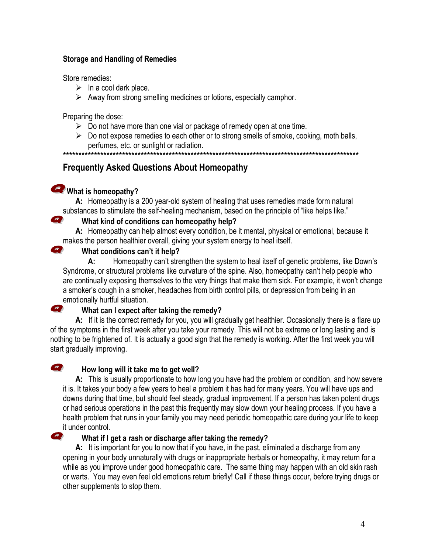#### **Storage and Handling of Remedies**

Store remedies:

- $\triangleright$  In a cool dark place.
- $\triangleright$  Away from strong smelling medicines or lotions, especially camphor.

Preparing the dose:

- $\triangleright$  Do not have more than one vial or package of remedy open at one time.
- $\triangleright$  Do not expose remedies to each other or to strong smells of smoke, cooking, moth balls, perfumes, etc. or sunlight or radiation.

\*\*\*\*\*\*\*\*\*\*\*\*\*\*\*\*\*\*\*\*\*\*\*\*\*\*\*\*\*\*\*\*\*\*\*\*\*\*\*\*\*\*\*\*\*\*\*\*\*\*\*\*\*\*\*\*\*\*\*\*\*\*\*\*\*\*\*\*\*\*\*\*\*\*\*\*\*\*\*\*\*\*\*\*\*\*\*\*\*\*\*\*\*\*\*

# **Frequently Asked Questions About Homeopathy**

# What is homeopathy?

Q

 $\boldsymbol{\Omega}$ 

Q

 $\boldsymbol{z}$ 

**A:** Homeopathy is a 200 year-old system of healing that uses remedies made form natural substances to stimulate the self-healing mechanism, based on the principle of "like helps like."

# **What kind of conditions can homeopathy help?**

**A:** Homeopathy can help almost every condition, be it mental, physical or emotional, because it makes the person healthier overall, giving your system energy to heal itself.

# **What conditions can't it help?**

**A:** Homeopathy can't strengthen the system to heal itself of genetic problems, like Down's Syndrome, or structural problems like curvature of the spine. Also, homeopathy can't help people who are continually exposing themselves to the very things that make them sick. For example, it won't change a smoker's cough in a smoker, headaches from birth control pills, or depression from being in an emotionally hurtful situation.

# **What can I expect after taking the remedy?**

**A:** If it is the correct remedy for you, you will gradually get healthier. Occasionally there is a flare up of the symptoms in the first week after you take your remedy. This will not be extreme or long lasting and is nothing to be frightened of. It is actually a good sign that the remedy is working. After the first week you will start gradually improving.

# **How long will it take me to get well?**

**A:** This is usually proportionate to how long you have had the problem or condition, and how severe it is. It takes your body a few years to heal a problem it has had for many years. You will have ups and downs during that time, but should feel steady, gradual improvement. If a person has taken potent drugs or had serious operations in the past this frequently may slow down your healing process. If you have a health problem that runs in your family you may need periodic homeopathic care during your life to keep it under control.

# **What if I get a rash or discharge after taking the remedy?**

**A:** It is important for you to now that if you have, in the past, eliminated a discharge from any opening in your body unnaturally with drugs or inappropriate herbals or homeopathy, it may return for a while as you improve under good homeopathic care. The same thing may happen with an old skin rash or warts. You may even feel old emotions return briefly! Call if these things occur, before trying drugs or other supplements to stop them.